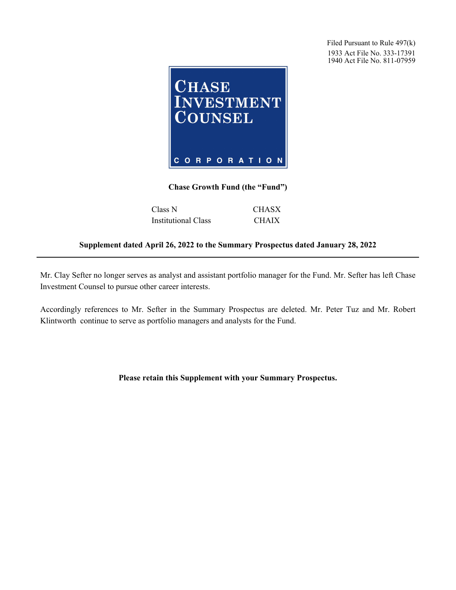Filed Pursuant to Rule 497(k) 1933 Act File No. 333-17391 1940 Act File No. 811-07959



## **Chase Growth Fund (the "Fund")**

| Class N                    | <b>CHASX</b> |
|----------------------------|--------------|
| <b>Institutional Class</b> | <b>CHAIX</b> |

## **Supplement dated April 26, 2022 to the Summary Prospectus dated January 28, 2022**

Mr. Clay Sefter no longer serves as analyst and assistant portfolio manager for the Fund. Mr. Sefter has left Chase Investment Counsel to pursue other career interests.

Accordingly references to Mr. Sefter in the Summary Prospectus are deleted. Mr. Peter Tuz and Mr. Robert Klintworth continue to serve as portfolio managers and analysts for the Fund.

## **Please retain this Supplement with your Summary Prospectus.**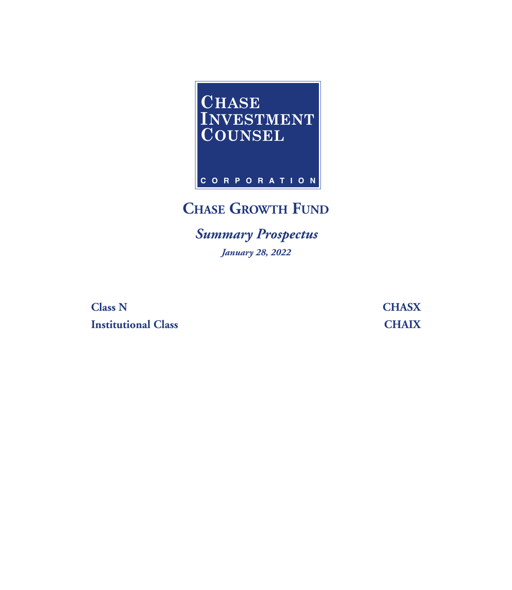

# **CHASE GROWTH FUND**

*Summary Prospectus January 28, 2022*

**Class N CHASX Institutional Class CHAIX**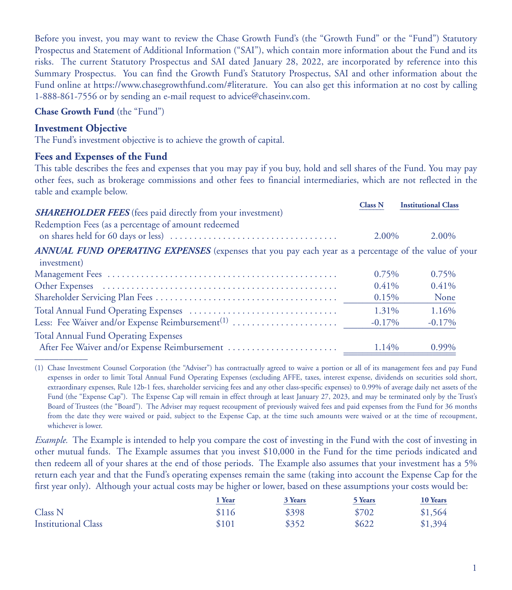Before you invest, you may want to review the Chase Growth Fund's (the "Growth Fund" or the "Fund") Statutory Prospectus and Statement of Additional Information ("SAI"), which contain more information about the Fund and its risks. The current Statutory Prospectus and SAI dated January 28, 2022, are incorporated by reference into this Summary Prospectus. You can find the Growth Fund's Statutory Prospectus, SAI and other information about the Fund online at https://www.chasegrowthfund.com/#literature. You can also get this information at no cost by calling 1-888-861-7556 or by sending an e-mail request to advice@chaseinv.com.

**Chase Growth Fund** (the "Fund")

## **Investment Objective**

The Fund's investment objective is to achieve the growth of capital.

#### **Fees and Expenses of the Fund**

This table describes the fees and expenses that you may pay if you buy, hold and sell shares of the Fund. You may pay other fees, such as brokerage commissions and other fees to financial intermediaries, which are not reflected in the table and example below.

|                                                                                                                          | <b>Class N</b> | <b>Institutional Class</b> |
|--------------------------------------------------------------------------------------------------------------------------|----------------|----------------------------|
| <b>SHAREHOLDER FEES</b> (fees paid directly from your investment)<br>Redemption Fees (as a percentage of amount redeemed | 2.00%          | 2.00%                      |
| ANNUAL FUND OPERATING EXPENSES (expenses that you pay each year as a percentage of the value of your<br>investment)      |                |                            |
|                                                                                                                          | 0.75%          | 0.75%                      |
|                                                                                                                          | $0.41\%$       | $0.41\%$                   |
|                                                                                                                          | 0.15%          | None                       |
|                                                                                                                          | 1.31%          | 1.16%                      |
|                                                                                                                          | $-0.17\%$      | $-0.17\%$                  |
| <b>Total Annual Fund Operating Expenses</b>                                                                              | 1.14%          | $0.99\%$                   |
|                                                                                                                          |                |                            |

(1) Chase Investment Counsel Corporation (the "Adviser") has contractually agreed to waive a portion or all of its management fees and pay Fund expenses in order to limit Total Annual Fund Operating Expenses (excluding AFFE, taxes, interest expense, dividends on securities sold short, extraordinary expenses, Rule 12b-1 fees, shareholder servicing fees and any other class-specific expenses) to 0.99% of average daily net assets of the Fund (the "Expense Cap"). The Expense Cap will remain in effect through at least January 27, 2023, and may be terminated only by the Trust's Board of Trustees (the "Board"). The Adviser may request recoupment of previously waived fees and paid expenses from the Fund for 36 months from the date they were waived or paid, subject to the Expense Cap, at the time such amounts were waived or at the time of recoupment, whichever is lower.

*Example.* The Example is intended to help you compare the cost of investing in the Fund with the cost of investing in other mutual funds. The Example assumes that you invest \$10,000 in the Fund for the time periods indicated and then redeem all of your shares at the end of those periods. The Example also assumes that your investment has a 5% return each year and that the Fund's operating expenses remain the same (taking into account the Expense Cap for the first year only). Although your actual costs may be higher or lower, based on these assumptions your costs would be:

|                            | ! Year | 3 Years | <b>5 Years</b> | 10 Years |
|----------------------------|--------|---------|----------------|----------|
| Class <sub>N</sub>         | \$116  | \$398   | \$702          | \$1,564  |
| <b>Institutional Class</b> | \$101  | \$352   | \$622          | \$1,394  |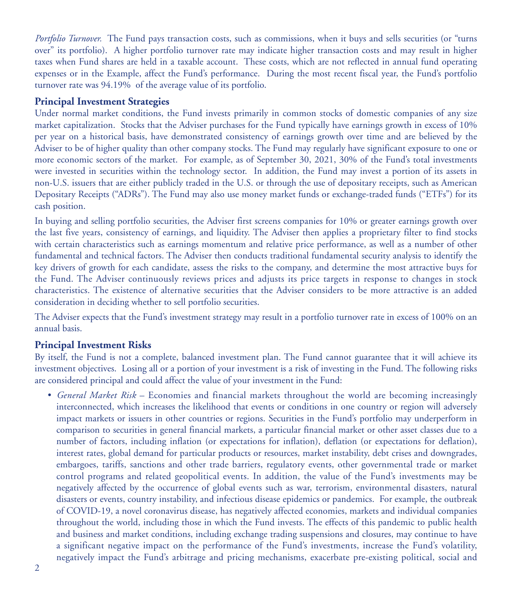*Portfolio Turnover.* The Fund pays transaction costs, such as commissions, when it buys and sells securities (or "turns over" its portfolio). A higher portfolio turnover rate may indicate higher transaction costs and may result in higher taxes when Fund shares are held in a taxable account. These costs, which are not reflected in annual fund operating expenses or in the Example, affect the Fund's performance. During the most recent fiscal year, the Fund's portfolio turnover rate was 94.19% of the average value of its portfolio.

#### **Principal Investment Strategies**

Under normal market conditions, the Fund invests primarily in common stocks of domestic companies of any size market capitalization. Stocks that the Adviser purchases for the Fund typically have earnings growth in excess of 10% per year on a historical basis, have demonstrated consistency of earnings growth over time and are believed by the Adviser to be of higher quality than other company stocks. The Fund may regularly have significant exposure to one or more economic sectors of the market. For example, as of September 30, 2021, 30% of the Fund's total investments were invested in securities within the technology sector. In addition, the Fund may invest a portion of its assets in non-U.S. issuers that are either publicly traded in the U.S. or through the use of depositary receipts, such as American Depositary Receipts ("ADRs"). The Fund may also use money market funds or exchange-traded funds ("ETFs") for its cash position.

In buying and selling portfolio securities, the Adviser first screens companies for 10% or greater earnings growth over the last five years, consistency of earnings, and liquidity. The Adviser then applies a proprietary filter to find stocks with certain characteristics such as earnings momentum and relative price performance, as well as a number of other fundamental and technical factors. The Adviser then conducts traditional fundamental security analysis to identify the key drivers of growth for each candidate, assess the risks to the company, and determine the most attractive buys for the Fund. The Adviser continuously reviews prices and adjusts its price targets in response to changes in stock characteristics. The existence of alternative securities that the Adviser considers to be more attractive is an added consideration in deciding whether to sell portfolio securities.

The Adviser expects that the Fund's investment strategy may result in a portfolio turnover rate in excess of 100% on an annual basis.

#### **Principal Investment Risks**

By itself, the Fund is not a complete, balanced investment plan. The Fund cannot guarantee that it will achieve its investment objectives. Losing all or a portion of your investment is a risk of investing in the Fund. The following risks are considered principal and could affect the value of your investment in the Fund:

• *General Market Risk* – Economies and financial markets throughout the world are becoming increasingly interconnected, which increases the likelihood that events or conditions in one country or region will adversely impact markets or issuers in other countries or regions. Securities in the Fund's portfolio may underperform in comparison to securities in general financial markets, a particular financial market or other asset classes due to a number of factors, including inflation (or expectations for inflation), deflation (or expectations for deflation), interest rates, global demand for particular products or resources, market instability, debt crises and downgrades, embargoes, tariffs, sanctions and other trade barriers, regulatory events, other governmental trade or market control programs and related geopolitical events. In addition, the value of the Fund's investments may be negatively affected by the occurrence of global events such as war, terrorism, environmental disasters, natural disasters or events, country instability, and infectious disease epidemics or pandemics. For example, the outbreak of COVID-19, a novel coronavirus disease, has negatively affected economies, markets and individual companies throughout the world, including those in which the Fund invests. The effects of this pandemic to public health and business and market conditions, including exchange trading suspensions and closures, may continue to have a significant negative impact on the performance of the Fund's investments, increase the Fund's volatility, negatively impact the Fund's arbitrage and pricing mechanisms, exacerbate pre-existing political, social and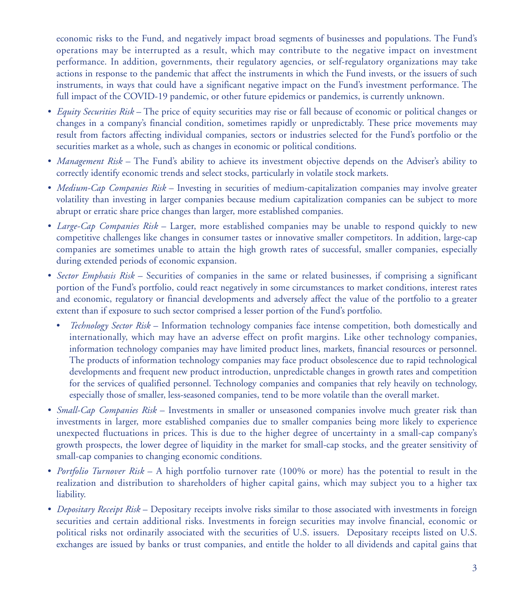economic risks to the Fund, and negatively impact broad segments of businesses and populations. The Fund's operations may be interrupted as a result, which may contribute to the negative impact on investment performance. In addition, governments, their regulatory agencies, or self-regulatory organizations may take actions in response to the pandemic that affect the instruments in which the Fund invests, or the issuers of such instruments, in ways that could have a significant negative impact on the Fund's investment performance. The full impact of the COVID-19 pandemic, or other future epidemics or pandemics, is currently unknown.

- *Equity Securities Risk* The price of equity securities may rise or fall because of economic or political changes or changes in a company's financial condition, sometimes rapidly or unpredictably. These price movements may result from factors affecting individual companies, sectors or industries selected for the Fund's portfolio or the securities market as a whole, such as changes in economic or political conditions.
- *Management Risk* The Fund's ability to achieve its investment objective depends on the Adviser's ability to correctly identify economic trends and select stocks, particularly in volatile stock markets.
- *Medium-Cap Companies Risk* Investing in securities of medium-capitalization companies may involve greater volatility than investing in larger companies because medium capitalization companies can be subject to more abrupt or erratic share price changes than larger, more established companies.
- *Large-Cap Companies Risk* Larger, more established companies may be unable to respond quickly to new competitive challenges like changes in consumer tastes or innovative smaller competitors. In addition, large-cap companies are sometimes unable to attain the high growth rates of successful, smaller companies, especially during extended periods of economic expansion.
- *Sector Emphasis Risk* Securities of companies in the same or related businesses, if comprising a significant portion of the Fund's portfolio, could react negatively in some circumstances to market conditions, interest rates and economic, regulatory or financial developments and adversely affect the value of the portfolio to a greater extent than if exposure to such sector comprised a lesser portion of the Fund's portfolio.
	- *Technology Sector Risk* Information technology companies face intense competition, both domestically and internationally, which may have an adverse effect on profit margins. Like other technology companies, information technology companies may have limited product lines, markets, financial resources or personnel. The products of information technology companies may face product obsolescence due to rapid technological developments and frequent new product introduction, unpredictable changes in growth rates and competition for the services of qualified personnel. Technology companies and companies that rely heavily on technology, especially those of smaller, less-seasoned companies, tend to be more volatile than the overall market.
- *Small-Cap Companies Risk* Investments in smaller or unseasoned companies involve much greater risk than investments in larger, more established companies due to smaller companies being more likely to experience unexpected fluctuations in prices. This is due to the higher degree of uncertainty in a small-cap company's growth prospects, the lower degree of liquidity in the market for small-cap stocks, and the greater sensitivity of small-cap companies to changing economic conditions.
- *Portfolio Turnover Risk* A high portfolio turnover rate (100% or more) has the potential to result in the realization and distribution to shareholders of higher capital gains, which may subject you to a higher tax liability.
- *Depositary Receipt Risk* Depositary receipts involve risks similar to those associated with investments in foreign securities and certain additional risks. Investments in foreign securities may involve financial, economic or political risks not ordinarily associated with the securities of U.S. issuers. Depositary receipts listed on U.S. exchanges are issued by banks or trust companies, and entitle the holder to all dividends and capital gains that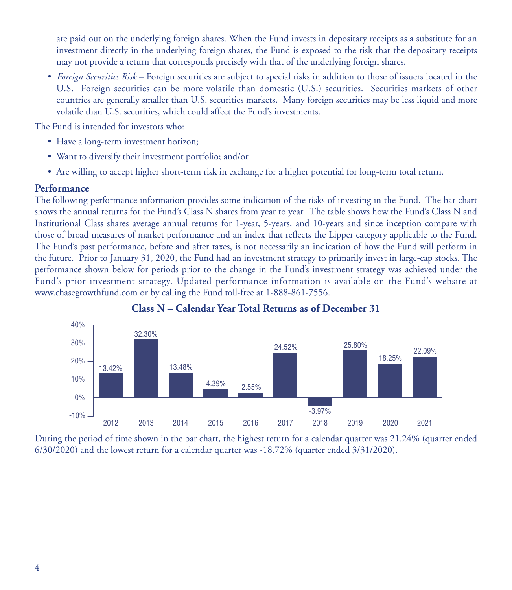are paid out on the underlying foreign shares. When the Fund invests in depositary receipts as a substitute for an investment directly in the underlying foreign shares, the Fund is exposed to the risk that the depositary receipts may not provide a return that corresponds precisely with that of the underlying foreign shares.

• *Foreign Securities Risk* – Foreign securities are subject to special risks in addition to those of issuers located in the U.S. Foreign securities can be more volatile than domestic (U.S.) securities. Securities markets of other countries are generally smaller than U.S. securities markets. Many foreign securities may be less liquid and more volatile than U.S. securities, which could affect the Fund's investments.

The Fund is intended for investors who:

- Have a long-term investment horizon;
- Want to diversify their investment portfolio; and/or
- Are willing to accept higher short-term risk in exchange for a higher potential for long-term total return.

#### **Performance**

The following performance information provides some indication of the risks of investing in the Fund. The bar chart shows the annual returns for the Fund's Class N shares from year to year. The table shows how the Fund's Class N and Institutional Class shares average annual returns for 1-year, 5-years, and 10-years and since inception compare with those of broad measures of market performance and an index that reflects the Lipper category applicable to the Fund. The Fund's past performance, before and after taxes, is not necessarily an indication of how the Fund will perform in the future. Prior to January 31, 2020, the Fund had an investment strategy to primarily invest in large-cap stocks. The performance shown below for periods prior to the change in the Fund's investment strategy was achieved under the Fund's prior investment strategy. Updated performance information is available on the Fund's website at www.chasegrowthfund.com or by calling the Fund toll-free at 1-888-861-7556.





During the period of time shown in the bar chart, the highest return for a calendar quarter was 21.24% (quarter ended 6/30/2020) and the lowest return for a calendar quarter was -18.72% (quarter ended 3/31/2020).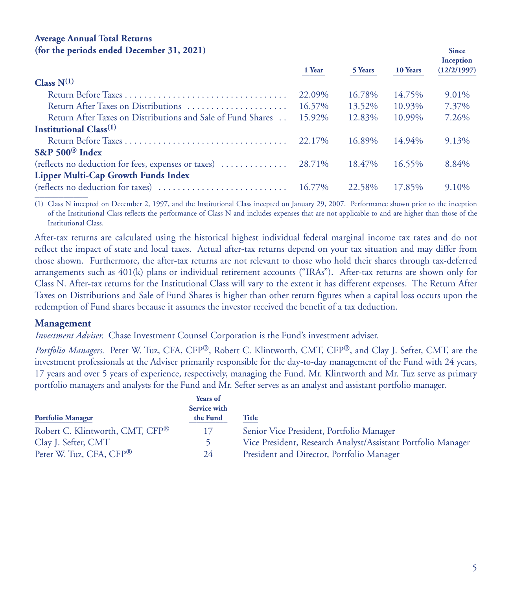#### **Average Annual Total Returns (for the periods ended December 31, 2021) Since**

|                                                             | 1 Year | 5 Years | 10 Years | Inception<br>(12/2/1997) |
|-------------------------------------------------------------|--------|---------|----------|--------------------------|
| Class $N^{(1)}$                                             |        |         |          |                          |
|                                                             | 22.09% | 16.78%  | 14.75%   | $9.01\%$                 |
| Return After Taxes on Distributions                         | 16.57% | 13.52%  | 10.93%   | 7.37%                    |
| Return After Taxes on Distributions and Sale of Fund Shares | 15.92% | 12.83%  | 10.99%   | 7.26%                    |
| Institutional $Class(1)$                                    |        |         |          |                          |
|                                                             | 22.17% | 16.89%  | 14.94%   | 9.13%                    |
| $S\&P 500^{\circledR}$ Index                                |        |         |          |                          |
|                                                             |        | 18.47%  | 16.55%   | 8.84%                    |
| <b>Lipper Multi-Cap Growth Funds Index</b>                  |        |         |          |                          |
|                                                             |        | 22.58%  | 17.85%   | 9.10%                    |
|                                                             |        |         |          |                          |

(1) Class N incepted on December 2, 1997, and the Institutional Class incepted on January 29, 2007. Performance shown prior to the inception of the Institutional Class reflects the performance of Class N and includes expenses that are not applicable to and are higher than those of the Institutional Class.

After-tax returns are calculated using the historical highest individual federal marginal income tax rates and do not reflect the impact of state and local taxes. Actual after-tax returns depend on your tax situation and may differ from those shown. Furthermore, the after-tax returns are not relevant to those who hold their shares through tax-deferred arrangements such as 401(k) plans or individual retirement accounts ("IRAs"). After-tax returns are shown only for Class N. After-tax returns for the Institutional Class will vary to the extent it has different expenses. The Return After Taxes on Distributions and Sale of Fund Shares is higher than other return figures when a capital loss occurs upon the redemption of Fund shares because it assumes the investor received the benefit of a tax deduction.

#### **Management**

*Investment Adviser.* Chase Investment Counsel Corporation is the Fund's investment adviser.

*Portfolio Managers.* Peter W. Tuz, CFA, CFP®, Robert C. Klintworth, CMT, CFP®, and Clay J. Sefter, CMT, are the investment professionals at the Adviser primarily responsible for the day-to-day management of the Fund with 24 years, 17 years and over 5 years of experience, respectively, managing the Fund. Mr. Klintworth and Mr. Tuz serve as primary portfolio managers and analysts for the Fund and Mr. Sefter serves as an analyst and assistant portfolio manager.

|                                     | Years of<br>Service with |                                                              |
|-------------------------------------|--------------------------|--------------------------------------------------------------|
| <b>Portfolio Manager</b>            | the Fund                 | Title                                                        |
| Robert C. Klintworth, CMT, CFP®     | 17                       | Senior Vice President, Portfolio Manager                     |
| Clay J. Sefter, CMT                 |                          | Vice President, Research Analyst/Assistant Portfolio Manager |
| Peter W. Tuz, CFA, CFP <sup>®</sup> | 24                       | President and Director, Portfolio Manager                    |